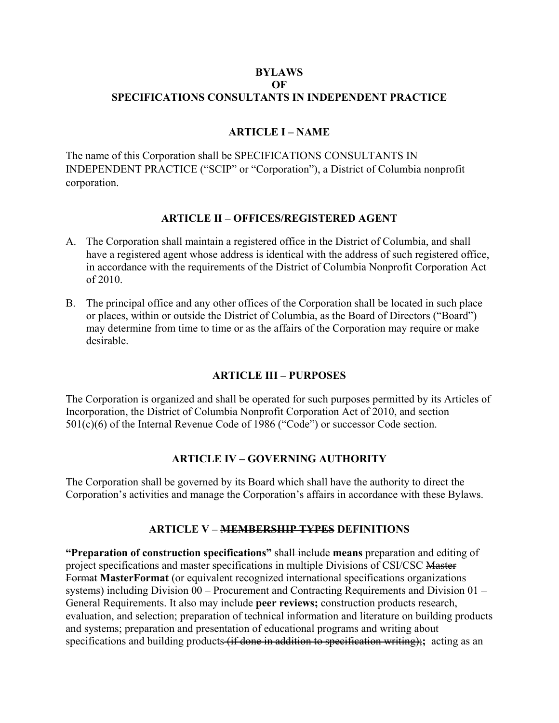#### **BYLAWS OF SPECIFICATIONS CONSULTANTS IN INDEPENDENT PRACTICE**

### **ARTICLE I – NAME**

The name of this Corporation shall be SPECIFICATIONS CONSULTANTS IN INDEPENDENT PRACTICE ("SCIP" or "Corporation"), a District of Columbia nonprofit corporation.

#### **ARTICLE II – OFFICES/REGISTERED AGENT**

- A. The Corporation shall maintain a registered office in the District of Columbia, and shall have a registered agent whose address is identical with the address of such registered office, in accordance with the requirements of the District of Columbia Nonprofit Corporation Act of 2010.
- B. The principal office and any other offices of the Corporation shall be located in such place or places, within or outside the District of Columbia, as the Board of Directors ("Board") may determine from time to time or as the affairs of the Corporation may require or make desirable.

#### **ARTICLE III – PURPOSES**

The Corporation is organized and shall be operated for such purposes permitted by its Articles of Incorporation, the District of Columbia Nonprofit Corporation Act of 2010, and section 501(c)(6) of the Internal Revenue Code of 1986 ("Code") or successor Code section.

## **ARTICLE IV – GOVERNING AUTHORITY**

The Corporation shall be governed by its Board which shall have the authority to direct the Corporation's activities and manage the Corporation's affairs in accordance with these Bylaws.

## **ARTICLE V – MEMBERSHIP TYPES DEFINITIONS**

**"Preparation of construction specifications"** shall include **means** preparation and editing of project specifications and master specifications in multiple Divisions of CSI/CSC Master Format **MasterFormat** (or equivalent recognized international specifications organizations systems) including Division 00 – Procurement and Contracting Requirements and Division 01 – General Requirements. It also may include **peer reviews;** construction products research, evaluation, and selection; preparation of technical information and literature on building products and systems; preparation and presentation of educational programs and writing about specifications and building products (if done in addition to specification writing);**;** acting as an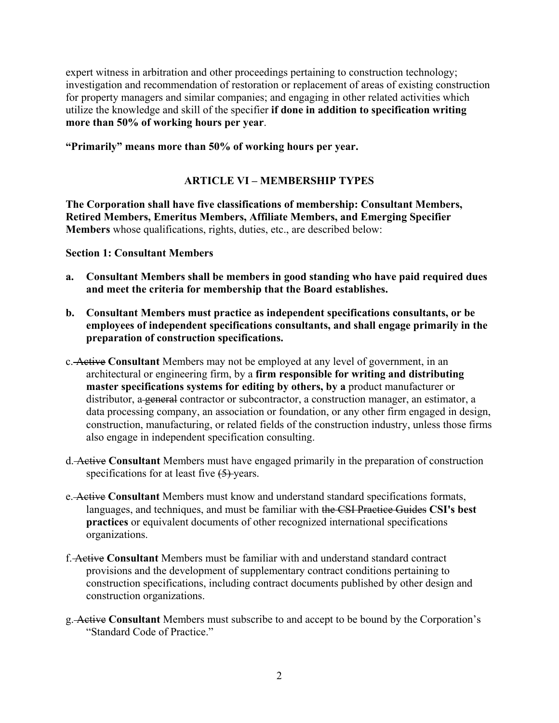expert witness in arbitration and other proceedings pertaining to construction technology; investigation and recommendation of restoration or replacement of areas of existing construction for property managers and similar companies; and engaging in other related activities which utilize the knowledge and skill of the specifier **if done in addition to specification writing more than 50% of working hours per year**.

#### **"Primarily" means more than 50% of working hours per year.**

# **ARTICLE VI – MEMBERSHIP TYPES**

**The Corporation shall have five classifications of membership: Consultant Members, Retired Members, Emeritus Members, Affiliate Members, and Emerging Specifier Members** whose qualifications, rights, duties, etc., are described below:

#### **Section 1: Consultant Members**

- **a. Consultant Members shall be members in good standing who have paid required dues and meet the criteria for membership that the Board establishes.**
- **b. Consultant Members must practice as independent specifications consultants, or be employees of independent specifications consultants, and shall engage primarily in the preparation of construction specifications.**
- c. Active **Consultant** Members may not be employed at any level of government, in an architectural or engineering firm, by a **firm responsible for writing and distributing master specifications systems for editing by others, by a** product manufacturer or distributor, a general contractor or subcontractor, a construction manager, an estimator, a data processing company, an association or foundation, or any other firm engaged in design, construction, manufacturing, or related fields of the construction industry, unless those firms also engage in independent specification consulting.
- d. Active **Consultant** Members must have engaged primarily in the preparation of construction specifications for at least five  $(5)$ -years.
- e. Active **Consultant** Members must know and understand standard specifications formats, languages, and techniques, and must be familiar with the CSI Practice Guides **CSI's best practices** or equivalent documents of other recognized international specifications organizations.
- f. Active **Consultant** Members must be familiar with and understand standard contract provisions and the development of supplementary contract conditions pertaining to construction specifications, including contract documents published by other design and construction organizations.
- g. Active **Consultant** Members must subscribe to and accept to be bound by the Corporation's "Standard Code of Practice."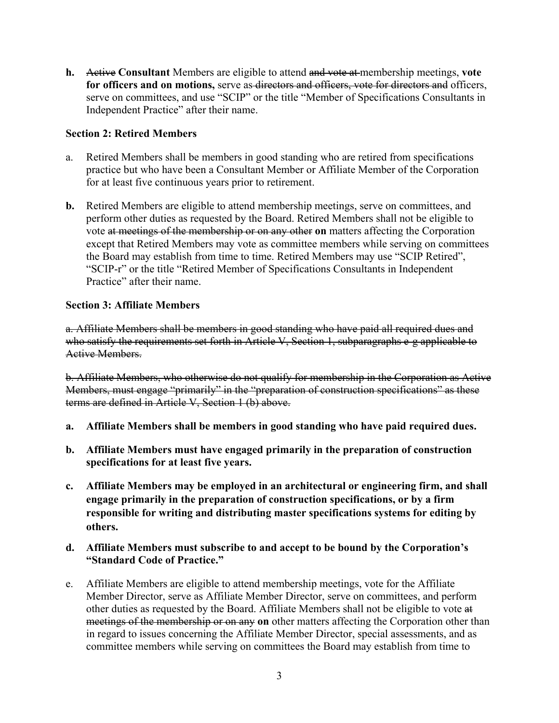**h.** Active **Consultant** Members are eligible to attend and vote at membership meetings, **vote for officers and on motions,** serve as directors and officers, vote for directors and officers, serve on committees, and use "SCIP" or the title "Member of Specifications Consultants in Independent Practice" after their name.

### **Section 2: Retired Members**

- a. Retired Members shall be members in good standing who are retired from specifications practice but who have been a Consultant Member or Affiliate Member of the Corporation for at least five continuous years prior to retirement.
- **b.** Retired Members are eligible to attend membership meetings, serve on committees, and perform other duties as requested by the Board. Retired Members shall not be eligible to vote at meetings of the membership or on any other **on** matters affecting the Corporation except that Retired Members may vote as committee members while serving on committees the Board may establish from time to time. Retired Members may use "SCIP Retired", "SCIP-r" or the title "Retired Member of Specifications Consultants in Independent Practice" after their name.

#### **Section 3: Affiliate Members**

a. Affiliate Members shall be members in good standing who have paid all required dues and who satisfy the requirements set forth in Article V, Section 1, subparagraphs e-g applicable to Active Members.

b. Affiliate Members, who otherwise do not qualify for membership in the Corporation as Active Members, must engage "primarily" in the "preparation of construction specifications" as these terms are defined in Article V, Section 1 (b) above.

- **a. Affiliate Members shall be members in good standing who have paid required dues.**
- **b. Affiliate Members must have engaged primarily in the preparation of construction specifications for at least five years.**
- **c. Affiliate Members may be employed in an architectural or engineering firm, and shall engage primarily in the preparation of construction specifications, or by a firm responsible for writing and distributing master specifications systems for editing by others.**
- **d. Affiliate Members must subscribe to and accept to be bound by the Corporation's "Standard Code of Practice."**
- e. Affiliate Members are eligible to attend membership meetings, vote for the Affiliate Member Director, serve as Affiliate Member Director, serve on committees, and perform other duties as requested by the Board. Affiliate Members shall not be eligible to vote at meetings of the membership or on any **on** other matters affecting the Corporation other than in regard to issues concerning the Affiliate Member Director, special assessments, and as committee members while serving on committees the Board may establish from time to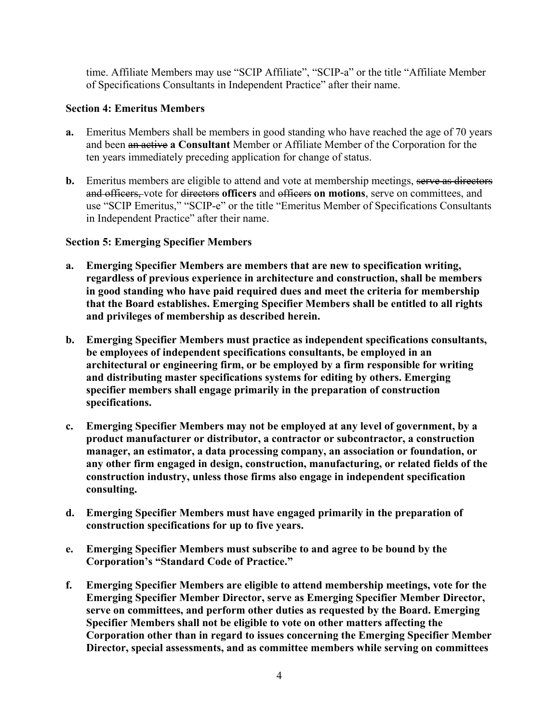time. Affiliate Members may use "SCIP Affiliate", "SCIP-a" or the title "Affiliate Member of Specifications Consultants in Independent Practice" after their name.

### **Section 4: Emeritus Members**

- **a.** Emeritus Members shall be members in good standing who have reached the age of 70 years and been an active **a Consultant** Member or Affiliate Member of the Corporation for the ten years immediately preceding application for change of status.
- **b.** Emeritus members are eligible to attend and vote at membership meetings, serve as directors and officers, vote for directors **officers** and officers **on motions**, serve on committees, and use "SCIP Emeritus," "SCIP-e" or the title "Emeritus Member of Specifications Consultants in Independent Practice" after their name.

### **Section 5: Emerging Specifier Members**

- **a. Emerging Specifier Members are members that are new to specification writing, regardless of previous experience in architecture and construction, shall be members in good standing who have paid required dues and meet the criteria for membership that the Board establishes. Emerging Specifier Members shall be entitled to all rights and privileges of membership as described herein.**
- **b. Emerging Specifier Members must practice as independent specifications consultants, be employees of independent specifications consultants, be employed in an architectural or engineering firm, or be employed by a firm responsible for writing and distributing master specifications systems for editing by others. Emerging specifier members shall engage primarily in the preparation of construction specifications.**
- **c. Emerging Specifier Members may not be employed at any level of government, by a product manufacturer or distributor, a contractor or subcontractor, a construction manager, an estimator, a data processing company, an association or foundation, or any other firm engaged in design, construction, manufacturing, or related fields of the construction industry, unless those firms also engage in independent specification consulting.**
- **d. Emerging Specifier Members must have engaged primarily in the preparation of construction specifications for up to five years.**
- **e. Emerging Specifier Members must subscribe to and agree to be bound by the Corporation's "Standard Code of Practice."**
- **f. Emerging Specifier Members are eligible to attend membership meetings, vote for the Emerging Specifier Member Director, serve as Emerging Specifier Member Director, serve on committees, and perform other duties as requested by the Board. Emerging Specifier Members shall not be eligible to vote on other matters affecting the Corporation other than in regard to issues concerning the Emerging Specifier Member Director, special assessments, and as committee members while serving on committees**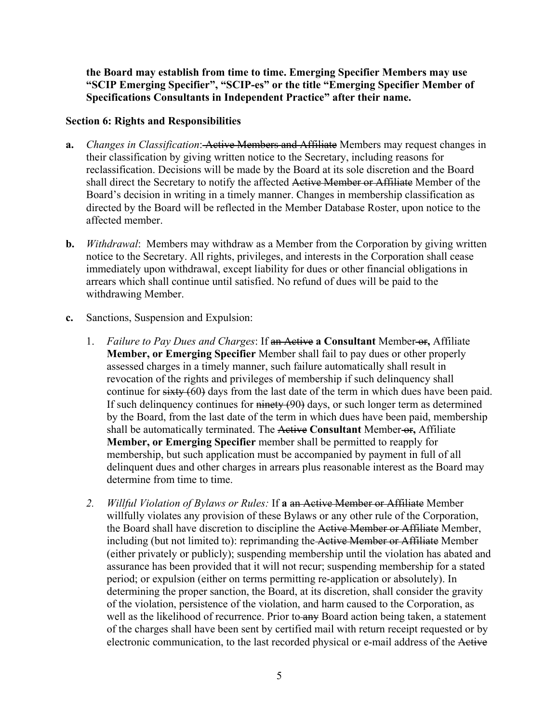**the Board may establish from time to time. Emerging Specifier Members may use "SCIP Emerging Specifier", "SCIP-es" or the title "Emerging Specifier Member of Specifications Consultants in Independent Practice" after their name.** 

### **Section 6: Rights and Responsibilities**

- **a.** *Changes in Classification*: Active Members and Affiliate Members may request changes in their classification by giving written notice to the Secretary, including reasons for reclassification. Decisions will be made by the Board at its sole discretion and the Board shall direct the Secretary to notify the affected Active Member or Affiliate Member of the Board's decision in writing in a timely manner. Changes in membership classification as directed by the Board will be reflected in the Member Database Roster, upon notice to the affected member.
- **b.** *Withdrawal*: Members may withdraw as a Member from the Corporation by giving written notice to the Secretary. All rights, privileges, and interests in the Corporation shall cease immediately upon withdrawal, except liability for dues or other financial obligations in arrears which shall continue until satisfied. No refund of dues will be paid to the withdrawing Member.
- **c.** Sanctions, Suspension and Expulsion:
	- 1. *Failure to Pay Dues and Charges*: If an Active **a Consultant** Member or**,** Affiliate **Member, or Emerging Specifier** Member shall fail to pay dues or other properly assessed charges in a timely manner, such failure automatically shall result in revocation of the rights and privileges of membership if such delinquency shall continue for sixty (60) days from the last date of the term in which dues have been paid. If such delinquency continues for ninety (90) days, or such longer term as determined by the Board, from the last date of the term in which dues have been paid, membership shall be automatically terminated. The Active **Consultant** Member or**,** Affiliate **Member, or Emerging Specifier** member shall be permitted to reapply for membership, but such application must be accompanied by payment in full of all delinquent dues and other charges in arrears plus reasonable interest as the Board may determine from time to time.
	- *2. Willful Violation of Bylaws or Rules:* If **a** an Active Member or Affiliate Member willfully violates any provision of these Bylaws or any other rule of the Corporation, the Board shall have discretion to discipline the Active Member or Affiliate Member, including (but not limited to): reprimanding the Active Member or Affiliate Member (either privately or publicly); suspending membership until the violation has abated and assurance has been provided that it will not recur; suspending membership for a stated period; or expulsion (either on terms permitting re-application or absolutely). In determining the proper sanction, the Board, at its discretion, shall consider the gravity of the violation, persistence of the violation, and harm caused to the Corporation, as well as the likelihood of recurrence. Prior to any Board action being taken, a statement of the charges shall have been sent by certified mail with return receipt requested or by electronic communication, to the last recorded physical or e-mail address of the Active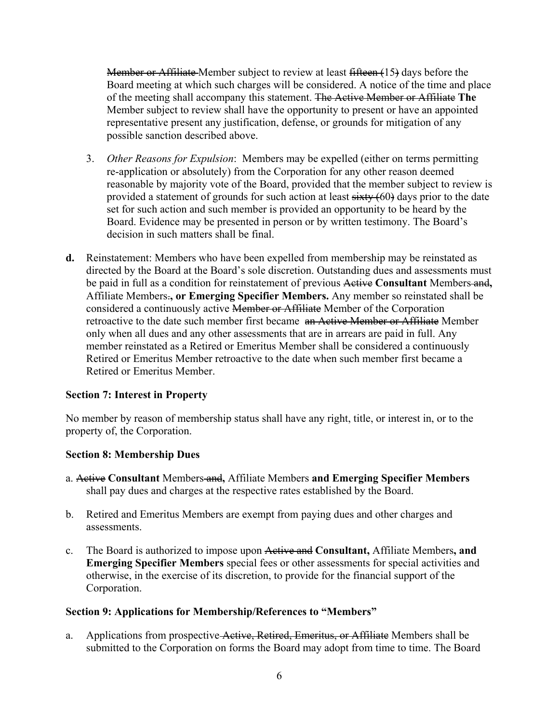Member or Affiliate Member subject to review at least fifteen (15) days before the Board meeting at which such charges will be considered. A notice of the time and place of the meeting shall accompany this statement. The Active Member or Affiliate **The** Member subject to review shall have the opportunity to present or have an appointed representative present any justification, defense, or grounds for mitigation of any possible sanction described above.

- 3. *Other Reasons for Expulsion*: Members may be expelled (either on terms permitting re-application or absolutely) from the Corporation for any other reason deemed reasonable by majority vote of the Board, provided that the member subject to review is provided a statement of grounds for such action at least  $sixty(60)$  days prior to the date set for such action and such member is provided an opportunity to be heard by the Board. Evidence may be presented in person or by written testimony. The Board's decision in such matters shall be final.
- **d.** Reinstatement: Members who have been expelled from membership may be reinstated as directed by the Board at the Board's sole discretion. Outstanding dues and assessments must be paid in full as a condition for reinstatement of previous Active **Consultant** Members and**,** Affiliate Members.**, or Emerging Specifier Members.** Any member so reinstated shall be considered a continuously active Member or Affiliate Member of the Corporation retroactive to the date such member first became an Active Member or Affiliate Member only when all dues and any other assessments that are in arrears are paid in full. Any member reinstated as a Retired or Emeritus Member shall be considered a continuously Retired or Emeritus Member retroactive to the date when such member first became a Retired or Emeritus Member.

#### **Section 7: Interest in Property**

No member by reason of membership status shall have any right, title, or interest in, or to the property of, the Corporation.

#### **Section 8: Membership Dues**

- a. Active **Consultant** Members and**,** Affiliate Members **and Emerging Specifier Members**  shall pay dues and charges at the respective rates established by the Board.
- b. Retired and Emeritus Members are exempt from paying dues and other charges and assessments.
- c. The Board is authorized to impose upon Active and **Consultant,** Affiliate Members**, and Emerging Specifier Members** special fees or other assessments for special activities and otherwise, in the exercise of its discretion, to provide for the financial support of the Corporation.

#### **Section 9: Applications for Membership/References to "Members"**

a. Applications from prospective Active, Retired, Emeritus, or Affiliate Members shall be submitted to the Corporation on forms the Board may adopt from time to time. The Board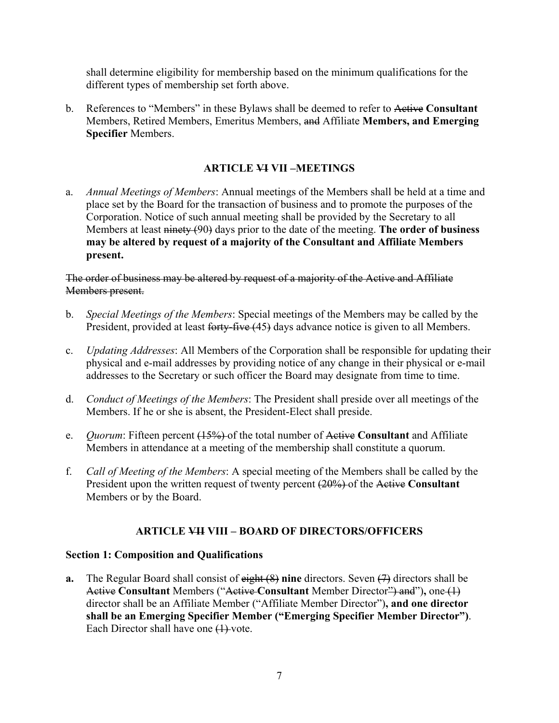shall determine eligibility for membership based on the minimum qualifications for the different types of membership set forth above.

b. References to "Members" in these Bylaws shall be deemed to refer to Active **Consultant** Members, Retired Members, Emeritus Members, and Affiliate **Members, and Emerging Specifier** Members.

# **ARTICLE VI VII –MEETINGS**

a. *Annual Meetings of Members*: Annual meetings of the Members shall be held at a time and place set by the Board for the transaction of business and to promote the purposes of the Corporation. Notice of such annual meeting shall be provided by the Secretary to all Members at least ninety (90) days prior to the date of the meeting. **The order of business may be altered by request of a majority of the Consultant and Affiliate Members present.**

### The order of business may be altered by request of a majority of the Active and Affiliate Members present.

- b. *Special Meetings of the Members*: Special meetings of the Members may be called by the President, provided at least forty-five (45) days advance notice is given to all Members.
- c. *Updating Addresses*: All Members of the Corporation shall be responsible for updating their physical and e-mail addresses by providing notice of any change in their physical or e-mail addresses to the Secretary or such officer the Board may designate from time to time.
- d. *Conduct of Meetings of the Members*: The President shall preside over all meetings of the Members. If he or she is absent, the President-Elect shall preside.
- e. *Quorum*: Fifteen percent (15%) of the total number of Active **Consultant** and Affiliate Members in attendance at a meeting of the membership shall constitute a quorum.
- f. *Call of Meeting of the Members*: A special meeting of the Members shall be called by the President upon the written request of twenty percent (20%) of the Active **Consultant** Members or by the Board.

## **ARTICLE VII VIII – BOARD OF DIRECTORS/OFFICERS**

## **Section 1: Composition and Qualifications**

**a.** The Regular Board shall consist of eight (8) **nine** directors. Seven (7) directors shall be Active **Consultant** Members ("Active **Consultant** Member Director") and")**,** one (1) director shall be an Affiliate Member ("Affiliate Member Director")**, and one director shall be an Emerging Specifier Member ("Emerging Specifier Member Director")**. Each Director shall have one  $(1)$ -vote.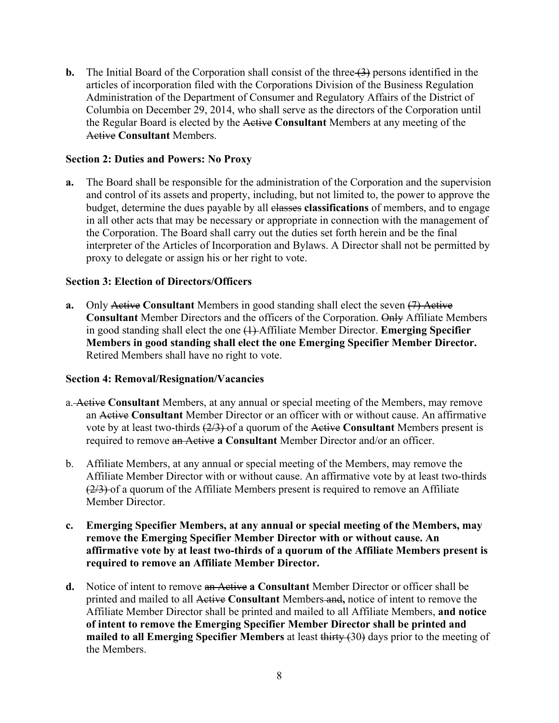**b.** The Initial Board of the Corporation shall consist of the three  $(3)$  persons identified in the articles of incorporation filed with the Corporations Division of the Business Regulation Administration of the Department of Consumer and Regulatory Affairs of the District of Columbia on December 29, 2014, who shall serve as the directors of the Corporation until the Regular Board is elected by the Active **Consultant** Members at any meeting of the Active **Consultant** Members.

### **Section 2: Duties and Powers: No Proxy**

**a.** The Board shall be responsible for the administration of the Corporation and the supervision and control of its assets and property, including, but not limited to, the power to approve the budget, determine the dues payable by all classes **classifications** of members, and to engage in all other acts that may be necessary or appropriate in connection with the management of the Corporation. The Board shall carry out the duties set forth herein and be the final interpreter of the Articles of Incorporation and Bylaws. A Director shall not be permitted by proxy to delegate or assign his or her right to vote.

#### **Section 3: Election of Directors/Officers**

**a.** Only Active Consultant Members in good standing shall elect the seven (7) Active **Consultant** Member Directors and the officers of the Corporation. Only Affiliate Members in good standing shall elect the one (1) Affiliate Member Director. **Emerging Specifier Members in good standing shall elect the one Emerging Specifier Member Director.** Retired Members shall have no right to vote.

#### **Section 4: Removal/Resignation/Vacancies**

- a. Active **Consultant** Members, at any annual or special meeting of the Members, may remove an Active **Consultant** Member Director or an officer with or without cause. An affirmative vote by at least two-thirds (2/3) of a quorum of the Active **Consultant** Members present is required to remove an Active **a Consultant** Member Director and/or an officer.
- b. Affiliate Members, at any annual or special meeting of the Members, may remove the Affiliate Member Director with or without cause. An affirmative vote by at least two-thirds (2/3) of a quorum of the Affiliate Members present is required to remove an Affiliate Member Director.
- **c. Emerging Specifier Members, at any annual or special meeting of the Members, may remove the Emerging Specifier Member Director with or without cause. An affirmative vote by at least two-thirds of a quorum of the Affiliate Members present is required to remove an Affiliate Member Director.**
- **d.** Notice of intent to remove an Active **a Consultant** Member Director or officer shall be printed and mailed to all Active **Consultant** Members and**,** notice of intent to remove the Affiliate Member Director shall be printed and mailed to all Affiliate Members, **and notice of intent to remove the Emerging Specifier Member Director shall be printed and mailed to all Emerging Specifier Members** at least thirty (30) days prior to the meeting of the Members.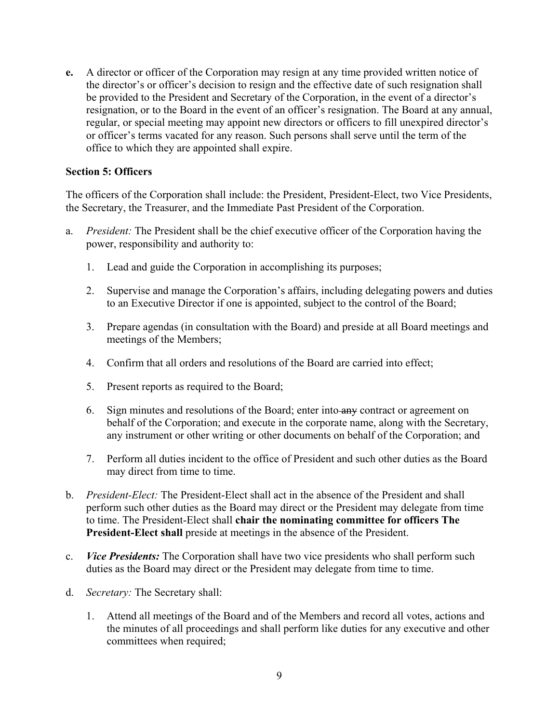**e.** A director or officer of the Corporation may resign at any time provided written notice of the director's or officer's decision to resign and the effective date of such resignation shall be provided to the President and Secretary of the Corporation, in the event of a director's resignation, or to the Board in the event of an officer's resignation. The Board at any annual, regular, or special meeting may appoint new directors or officers to fill unexpired director's or officer's terms vacated for any reason. Such persons shall serve until the term of the office to which they are appointed shall expire.

#### **Section 5: Officers**

The officers of the Corporation shall include: the President, President-Elect, two Vice Presidents, the Secretary, the Treasurer, and the Immediate Past President of the Corporation.

- a. *President:* The President shall be the chief executive officer of the Corporation having the power, responsibility and authority to:
	- 1. Lead and guide the Corporation in accomplishing its purposes;
	- 2. Supervise and manage the Corporation's affairs, including delegating powers and duties to an Executive Director if one is appointed, subject to the control of the Board;
	- 3. Prepare agendas (in consultation with the Board) and preside at all Board meetings and meetings of the Members;
	- 4. Confirm that all orders and resolutions of the Board are carried into effect;
	- 5. Present reports as required to the Board;
	- 6. Sign minutes and resolutions of the Board; enter into any contract or agreement on behalf of the Corporation; and execute in the corporate name, along with the Secretary, any instrument or other writing or other documents on behalf of the Corporation; and
	- 7. Perform all duties incident to the office of President and such other duties as the Board may direct from time to time.
- b. *President-Elect:* The President-Elect shall act in the absence of the President and shall perform such other duties as the Board may direct or the President may delegate from time to time. The President-Elect shall **chair the nominating committee for officers The President-Elect shall** preside at meetings in the absence of the President.
- c. *Vice Presidents:* The Corporation shall have two vice presidents who shall perform such duties as the Board may direct or the President may delegate from time to time.
- d. *Secretary:* The Secretary shall:
	- 1. Attend all meetings of the Board and of the Members and record all votes, actions and the minutes of all proceedings and shall perform like duties for any executive and other committees when required;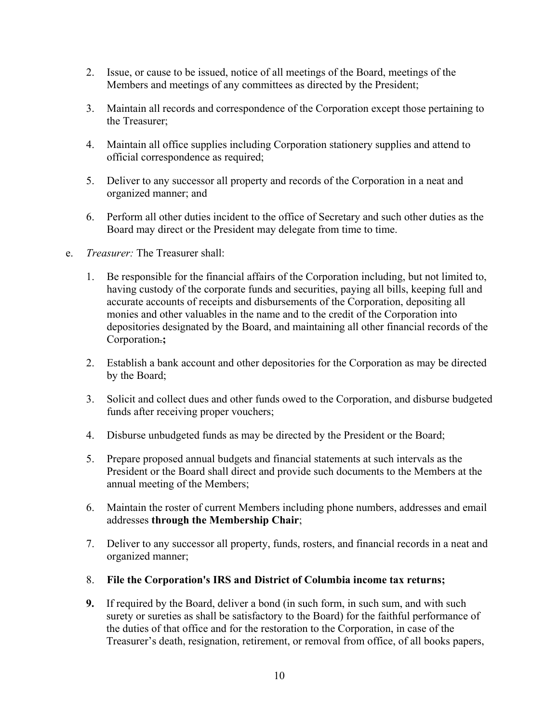- 2. Issue, or cause to be issued, notice of all meetings of the Board, meetings of the Members and meetings of any committees as directed by the President;
- 3. Maintain all records and correspondence of the Corporation except those pertaining to the Treasurer;
- 4. Maintain all office supplies including Corporation stationery supplies and attend to official correspondence as required;
- 5. Deliver to any successor all property and records of the Corporation in a neat and organized manner; and
- 6. Perform all other duties incident to the office of Secretary and such other duties as the Board may direct or the President may delegate from time to time.
- e. *Treasurer:* The Treasurer shall:
	- 1. Be responsible for the financial affairs of the Corporation including, but not limited to, having custody of the corporate funds and securities, paying all bills, keeping full and accurate accounts of receipts and disbursements of the Corporation, depositing all monies and other valuables in the name and to the credit of the Corporation into depositories designated by the Board, and maintaining all other financial records of the Corporation.**;**
	- 2. Establish a bank account and other depositories for the Corporation as may be directed by the Board;
	- 3. Solicit and collect dues and other funds owed to the Corporation, and disburse budgeted funds after receiving proper vouchers;
	- 4. Disburse unbudgeted funds as may be directed by the President or the Board;
	- 5. Prepare proposed annual budgets and financial statements at such intervals as the President or the Board shall direct and provide such documents to the Members at the annual meeting of the Members;
	- 6. Maintain the roster of current Members including phone numbers, addresses and email addresses **through the Membership Chair**;
	- 7. Deliver to any successor all property, funds, rosters, and financial records in a neat and organized manner;
	- 8. **File the Corporation's IRS and District of Columbia income tax returns;**
	- **9.** If required by the Board, deliver a bond (in such form, in such sum, and with such surety or sureties as shall be satisfactory to the Board) for the faithful performance of the duties of that office and for the restoration to the Corporation, in case of the Treasurer's death, resignation, retirement, or removal from office, of all books papers,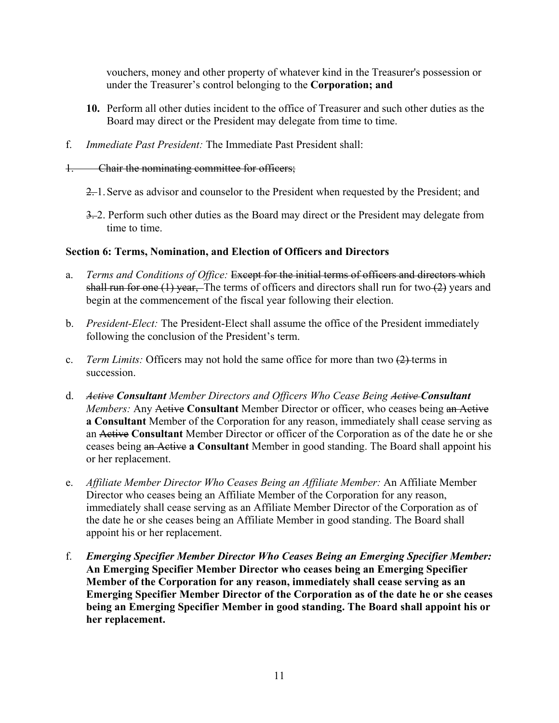vouchers, money and other property of whatever kind in the Treasurer's possession or under the Treasurer's control belonging to the **Corporation; and**

- **10.** Perform all other duties incident to the office of Treasurer and such other duties as the Board may direct or the President may delegate from time to time.
- f. *Immediate Past President:* The Immediate Past President shall:
- 1. Chair the nominating committee for officers;
	- 2. 1. Serve as advisor and counselor to the President when requested by the President; and
	- 3. 2. Perform such other duties as the Board may direct or the President may delegate from time to time.

#### **Section 6: Terms, Nomination, and Election of Officers and Directors**

- a. *Terms and Conditions of Office:* Except for the initial terms of officers and directors which shall run for one  $(1)$  year, The terms of officers and directors shall run for two  $(2)$  years and begin at the commencement of the fiscal year following their election.
- b. *President-Elect:* The President-Elect shall assume the office of the President immediately following the conclusion of the President's term.
- c. *Term Limits:* Officers may not hold the same office for more than two (2) terms in succession.
- d. *Active Consultant Member Directors and Officers Who Cease Being Active Consultant Members:* Any Active Consultant Member Director or officer, who ceases being an Active **a Consultant** Member of the Corporation for any reason, immediately shall cease serving as an Active **Consultant** Member Director or officer of the Corporation as of the date he or she ceases being an Active **a Consultant** Member in good standing. The Board shall appoint his or her replacement.
- e. *Affiliate Member Director Who Ceases Being an Affiliate Member:* An Affiliate Member Director who ceases being an Affiliate Member of the Corporation for any reason, immediately shall cease serving as an Affiliate Member Director of the Corporation as of the date he or she ceases being an Affiliate Member in good standing. The Board shall appoint his or her replacement.
- f. *Emerging Specifier Member Director Who Ceases Being an Emerging Specifier Member:* **An Emerging Specifier Member Director who ceases being an Emerging Specifier Member of the Corporation for any reason, immediately shall cease serving as an Emerging Specifier Member Director of the Corporation as of the date he or she ceases being an Emerging Specifier Member in good standing. The Board shall appoint his or her replacement.**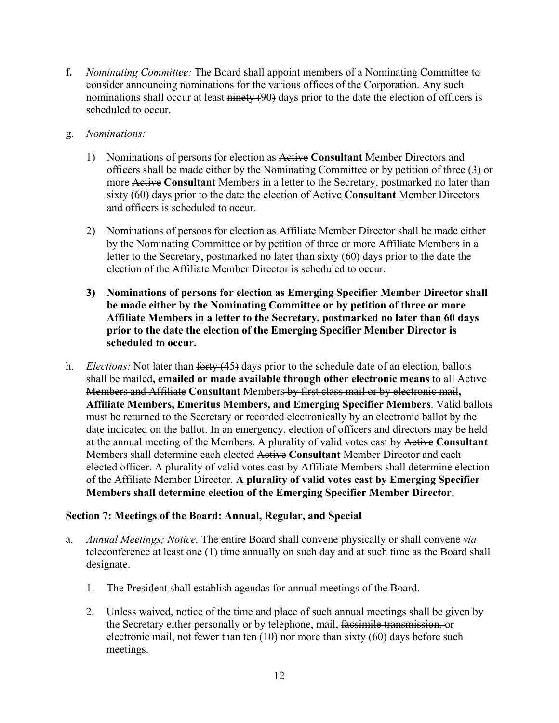- **f.** *Nominating Committee:* The Board shall appoint members of a Nominating Committee to consider announcing nominations for the various offices of the Corporation. Any such nominations shall occur at least ninety (90) days prior to the date the election of officers is scheduled to occur.
- g. *Nominations:*
	- 1) Nominations of persons for election as Active **Consultant** Member Directors and officers shall be made either by the Nominating Committee or by petition of three  $(3)$ -or more Active **Consultant** Members in a letter to the Secretary, postmarked no later than sixty (60) days prior to the date the election of Active **Consultant** Member Directors and officers is scheduled to occur.
	- 2) Nominations of persons for election as Affiliate Member Director shall be made either by the Nominating Committee or by petition of three or more Affiliate Members in a letter to the Secretary, postmarked no later than sixty (60) days prior to the date the election of the Affiliate Member Director is scheduled to occur.
	- **3) Nominations of persons for election as Emerging Specifier Member Director shall be made either by the Nominating Committee or by petition of three or more Affiliate Members in a letter to the Secretary, postmarked no later than 60 days prior to the date the election of the Emerging Specifier Member Director is scheduled to occur.**
- h. *Elections:* Not later than forty (45) days prior to the schedule date of an election, ballots shall be mailed**, emailed or made available through other electronic means** to all Active Members and Affiliate **Consultant** Members by first class mail or by electronic mail**, Affiliate Members, Emeritus Members, and Emerging Specifier Members**. Valid ballots must be returned to the Secretary or recorded electronically by an electronic ballot by the date indicated on the ballot. In an emergency, election of officers and directors may be held at the annual meeting of the Members. A plurality of valid votes cast by Active **Consultant** Members shall determine each elected Active **Consultant** Member Director and each elected officer. A plurality of valid votes cast by Affiliate Members shall determine election of the Affiliate Member Director. **A plurality of valid votes cast by Emerging Specifier Members shall determine election of the Emerging Specifier Member Director.**

#### **Section 7: Meetings of the Board: Annual, Regular, and Special**

- a. *Annual Meetings; Notice.* The entire Board shall convene physically or shall convene *via* teleconference at least one  $(1)$ -time annually on such day and at such time as the Board shall designate.
	- 1. The President shall establish agendas for annual meetings of the Board.
	- 2. Unless waived, notice of the time and place of such annual meetings shall be given by the Secretary either personally or by telephone, mail, facsimile transmission, or electronic mail, not fewer than ten  $(10)$ -nor more than sixty  $(60)$ -days before such meetings.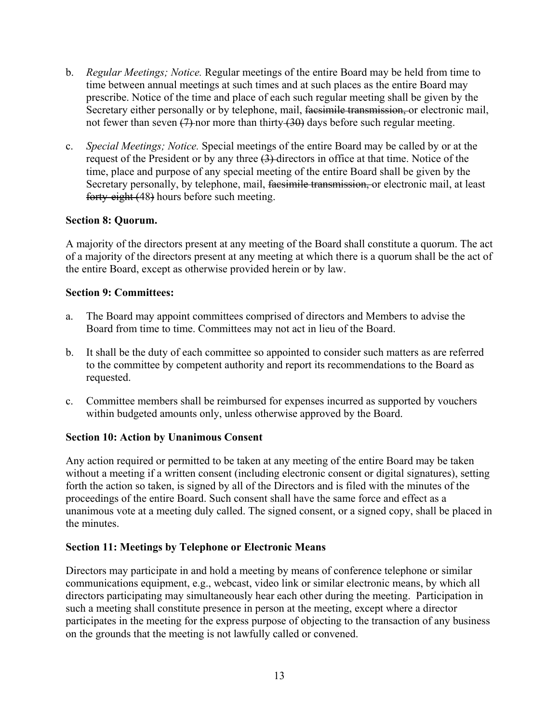- b. *Regular Meetings; Notice.* Regular meetings of the entire Board may be held from time to time between annual meetings at such times and at such places as the entire Board may prescribe. Notice of the time and place of each such regular meeting shall be given by the Secretary either personally or by telephone, mail, facsimile transmission, or electronic mail, not fewer than seven  $(7)$ -nor more than thirty  $(30)$  days before such regular meeting.
- c. *Special Meetings; Notice.* Special meetings of the entire Board may be called by or at the request of the President or by any three (3) directors in office at that time. Notice of the time, place and purpose of any special meeting of the entire Board shall be given by the Secretary personally, by telephone, mail, facsimile transmission, or electronic mail, at least forty-eight (48) hours before such meeting.

### **Section 8: Quorum.**

A majority of the directors present at any meeting of the Board shall constitute a quorum. The act of a majority of the directors present at any meeting at which there is a quorum shall be the act of the entire Board, except as otherwise provided herein or by law.

#### **Section 9: Committees:**

- a. The Board may appoint committees comprised of directors and Members to advise the Board from time to time. Committees may not act in lieu of the Board.
- b. It shall be the duty of each committee so appointed to consider such matters as are referred to the committee by competent authority and report its recommendations to the Board as requested.
- c. Committee members shall be reimbursed for expenses incurred as supported by vouchers within budgeted amounts only, unless otherwise approved by the Board.

#### **Section 10: Action by Unanimous Consent**

Any action required or permitted to be taken at any meeting of the entire Board may be taken without a meeting if a written consent (including electronic consent or digital signatures), setting forth the action so taken, is signed by all of the Directors and is filed with the minutes of the proceedings of the entire Board. Such consent shall have the same force and effect as a unanimous vote at a meeting duly called. The signed consent, or a signed copy, shall be placed in the minutes.

#### **Section 11: Meetings by Telephone or Electronic Means**

Directors may participate in and hold a meeting by means of conference telephone or similar communications equipment, e.g., webcast, video link or similar electronic means, by which all directors participating may simultaneously hear each other during the meeting. Participation in such a meeting shall constitute presence in person at the meeting, except where a director participates in the meeting for the express purpose of objecting to the transaction of any business on the grounds that the meeting is not lawfully called or convened.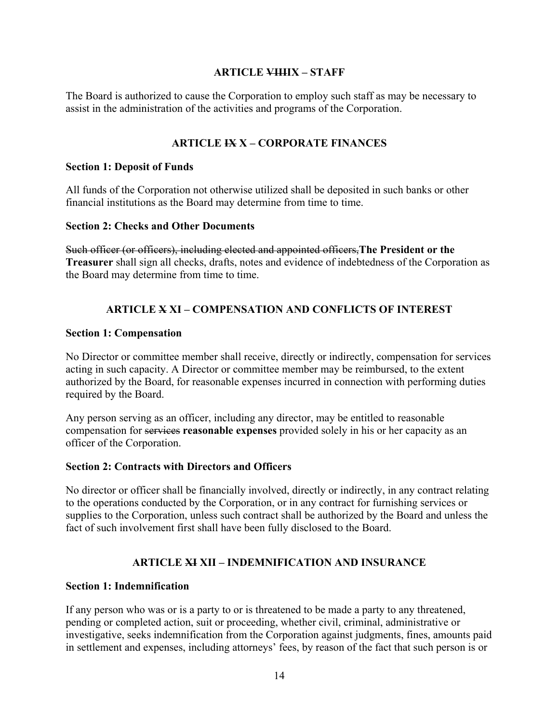### **ARTICLE VIIIIX – STAFF**

The Board is authorized to cause the Corporation to employ such staff as may be necessary to assist in the administration of the activities and programs of the Corporation.

## **ARTICLE IX X – CORPORATE FINANCES**

#### **Section 1: Deposit of Funds**

All funds of the Corporation not otherwise utilized shall be deposited in such banks or other financial institutions as the Board may determine from time to time.

#### **Section 2: Checks and Other Documents**

Such officer (or officers), including elected and appointed officers,**The President or the Treasurer** shall sign all checks, drafts, notes and evidence of indebtedness of the Corporation as the Board may determine from time to time.

## **ARTICLE X XI – COMPENSATION AND CONFLICTS OF INTEREST**

#### **Section 1: Compensation**

No Director or committee member shall receive, directly or indirectly, compensation for services acting in such capacity. A Director or committee member may be reimbursed, to the extent authorized by the Board, for reasonable expenses incurred in connection with performing duties required by the Board.

Any person serving as an officer, including any director, may be entitled to reasonable compensation for services **reasonable expenses** provided solely in his or her capacity as an officer of the Corporation.

#### **Section 2: Contracts with Directors and Officers**

No director or officer shall be financially involved, directly or indirectly, in any contract relating to the operations conducted by the Corporation, or in any contract for furnishing services or supplies to the Corporation, unless such contract shall be authorized by the Board and unless the fact of such involvement first shall have been fully disclosed to the Board.

## **ARTICLE XI XII – INDEMNIFICATION AND INSURANCE**

#### **Section 1: Indemnification**

If any person who was or is a party to or is threatened to be made a party to any threatened, pending or completed action, suit or proceeding, whether civil, criminal, administrative or investigative, seeks indemnification from the Corporation against judgments, fines, amounts paid in settlement and expenses, including attorneys' fees, by reason of the fact that such person is or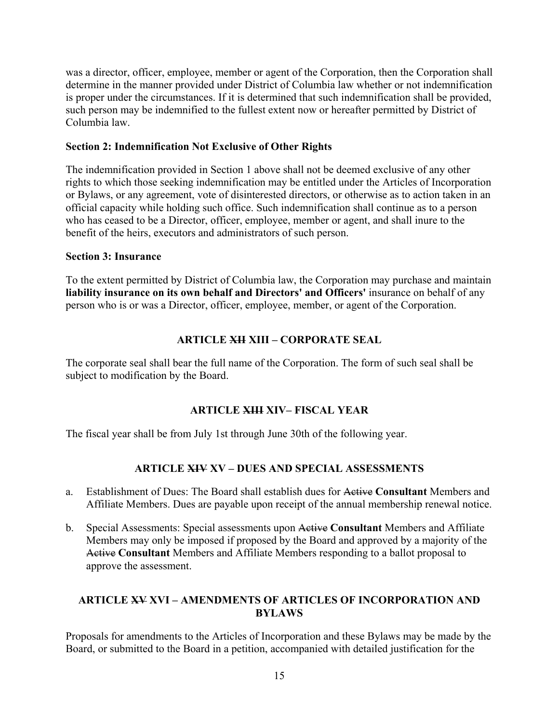was a director, officer, employee, member or agent of the Corporation, then the Corporation shall determine in the manner provided under District of Columbia law whether or not indemnification is proper under the circumstances. If it is determined that such indemnification shall be provided, such person may be indemnified to the fullest extent now or hereafter permitted by District of Columbia law.

### **Section 2: Indemnification Not Exclusive of Other Rights**

The indemnification provided in Section 1 above shall not be deemed exclusive of any other rights to which those seeking indemnification may be entitled under the Articles of Incorporation or Bylaws, or any agreement, vote of disinterested directors, or otherwise as to action taken in an official capacity while holding such office. Such indemnification shall continue as to a person who has ceased to be a Director, officer, employee, member or agent, and shall inure to the benefit of the heirs, executors and administrators of such person.

### **Section 3: Insurance**

To the extent permitted by District of Columbia law, the Corporation may purchase and maintain **liability insurance on its own behalf and Directors' and Officers'** insurance on behalf of any person who is or was a Director, officer, employee, member, or agent of the Corporation.

# **ARTICLE XII XIII – CORPORATE SEAL**

The corporate seal shall bear the full name of the Corporation. The form of such seal shall be subject to modification by the Board.

## **ARTICLE XIII XIV– FISCAL YEAR**

The fiscal year shall be from July 1st through June 30th of the following year.

# **ARTICLE XIV XV – DUES AND SPECIAL ASSESSMENTS**

- a. Establishment of Dues: The Board shall establish dues for Active **Consultant** Members and Affiliate Members. Dues are payable upon receipt of the annual membership renewal notice.
- b. Special Assessments: Special assessments upon Active **Consultant** Members and Affiliate Members may only be imposed if proposed by the Board and approved by a majority of the Active **Consultant** Members and Affiliate Members responding to a ballot proposal to approve the assessment.

## **ARTICLE XV XVI – AMENDMENTS OF ARTICLES OF INCORPORATION AND BYLAWS**

Proposals for amendments to the Articles of Incorporation and these Bylaws may be made by the Board, or submitted to the Board in a petition, accompanied with detailed justification for the